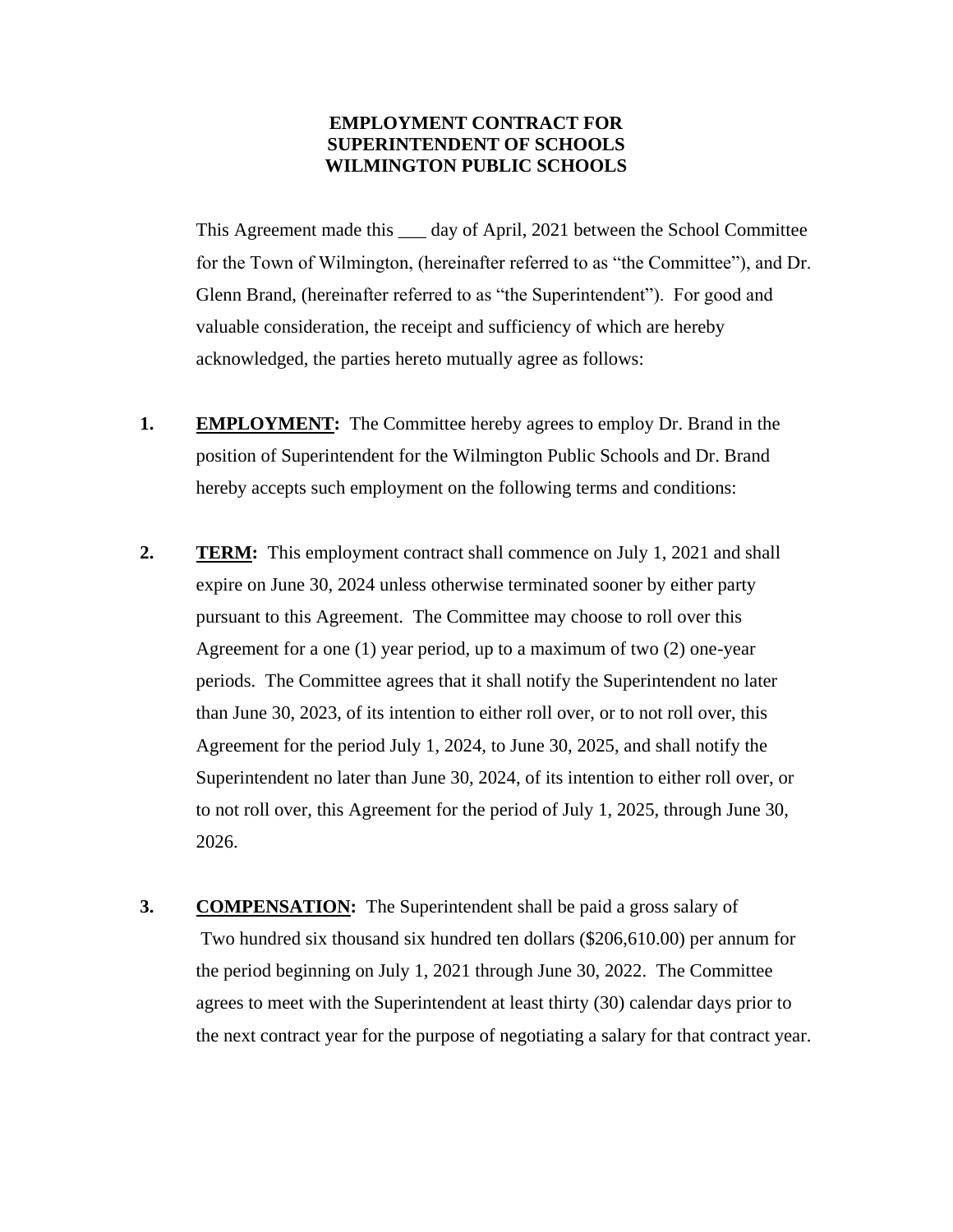# **EMPLOYMENT CONTRACT FOR SUPERINTENDENT OF SCHOOLS WILMINGTON PUBLIC SCHOOLS**

This Agreement made this \_\_\_ day of April, 2021 between the School Committee for the Town of Wilmington, (hereinafter referred to as "the Committee"), and Dr. Glenn Brand, (hereinafter referred to as "the Superintendent"). For good and valuable consideration, the receipt and sufficiency of which are hereby acknowledged, the parties hereto mutually agree as follows:

- **1. EMPLOYMENT:** The Committee hereby agrees to employ Dr. Brand in the position of Superintendent for the Wilmington Public Schools and Dr. Brand hereby accepts such employment on the following terms and conditions:
- **2. TERM:** This employment contract shall commence on July 1, 2021 and shall expire on June 30, 2024 unless otherwise terminated sooner by either party pursuant to this Agreement. The Committee may choose to roll over this Agreement for a one (1) year period, up to a maximum of two (2) one-year periods. The Committee agrees that it shall notify the Superintendent no later than June 30, 2023, of its intention to either roll over, or to not roll over, this Agreement for the period July 1, 2024, to June 30, 2025, and shall notify the Superintendent no later than June 30, 2024, of its intention to either roll over, or to not roll over, this Agreement for the period of July 1, 2025, through June 30, 2026.
- **3. COMPENSATION:** The Superintendent shall be paid a gross salary of Two hundred six thousand six hundred ten dollars (\$206,610.00) per annum for the period beginning on July 1, 2021 through June 30, 2022. The Committee agrees to meet with the Superintendent at least thirty (30) calendar days prior to the next contract year for the purpose of negotiating a salary for that contract year.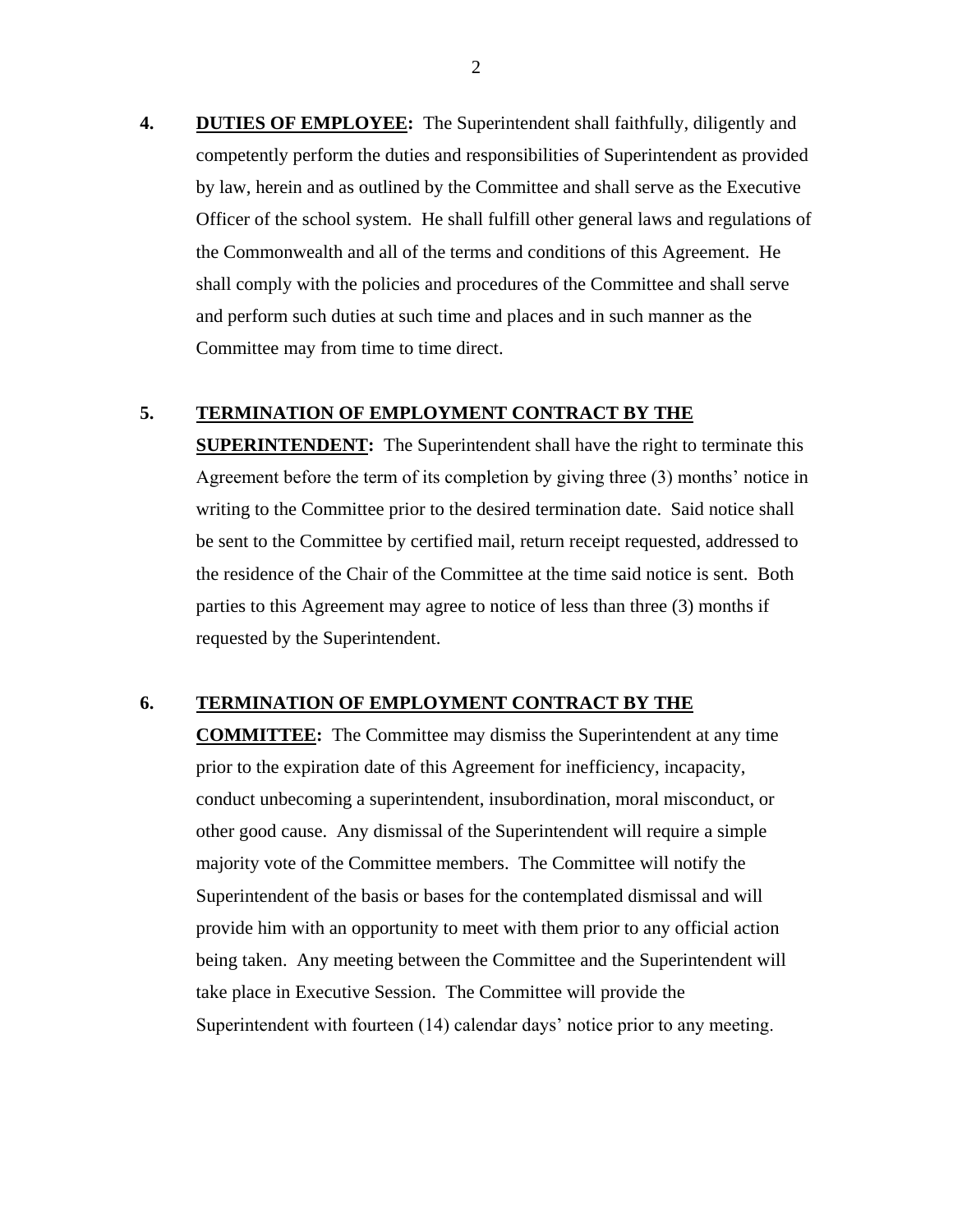**4. DUTIES OF EMPLOYEE:** The Superintendent shall faithfully, diligently and competently perform the duties and responsibilities of Superintendent as provided by law, herein and as outlined by the Committee and shall serve as the Executive Officer of the school system. He shall fulfill other general laws and regulations of the Commonwealth and all of the terms and conditions of this Agreement. He shall comply with the policies and procedures of the Committee and shall serve and perform such duties at such time and places and in such manner as the Committee may from time to time direct.

### **5. TERMINATION OF EMPLOYMENT CONTRACT BY THE**

**SUPERINTENDENT:** The Superintendent shall have the right to terminate this Agreement before the term of its completion by giving three (3) months' notice in writing to the Committee prior to the desired termination date. Said notice shall be sent to the Committee by certified mail, return receipt requested, addressed to the residence of the Chair of the Committee at the time said notice is sent. Both parties to this Agreement may agree to notice of less than three (3) months if requested by the Superintendent.

#### **6. TERMINATION OF EMPLOYMENT CONTRACT BY THE**

**COMMITTEE:** The Committee may dismiss the Superintendent at any time prior to the expiration date of this Agreement for inefficiency, incapacity, conduct unbecoming a superintendent, insubordination, moral misconduct, or other good cause. Any dismissal of the Superintendent will require a simple majority vote of the Committee members. The Committee will notify the Superintendent of the basis or bases for the contemplated dismissal and will provide him with an opportunity to meet with them prior to any official action being taken. Any meeting between the Committee and the Superintendent will take place in Executive Session. The Committee will provide the Superintendent with fourteen (14) calendar days' notice prior to any meeting.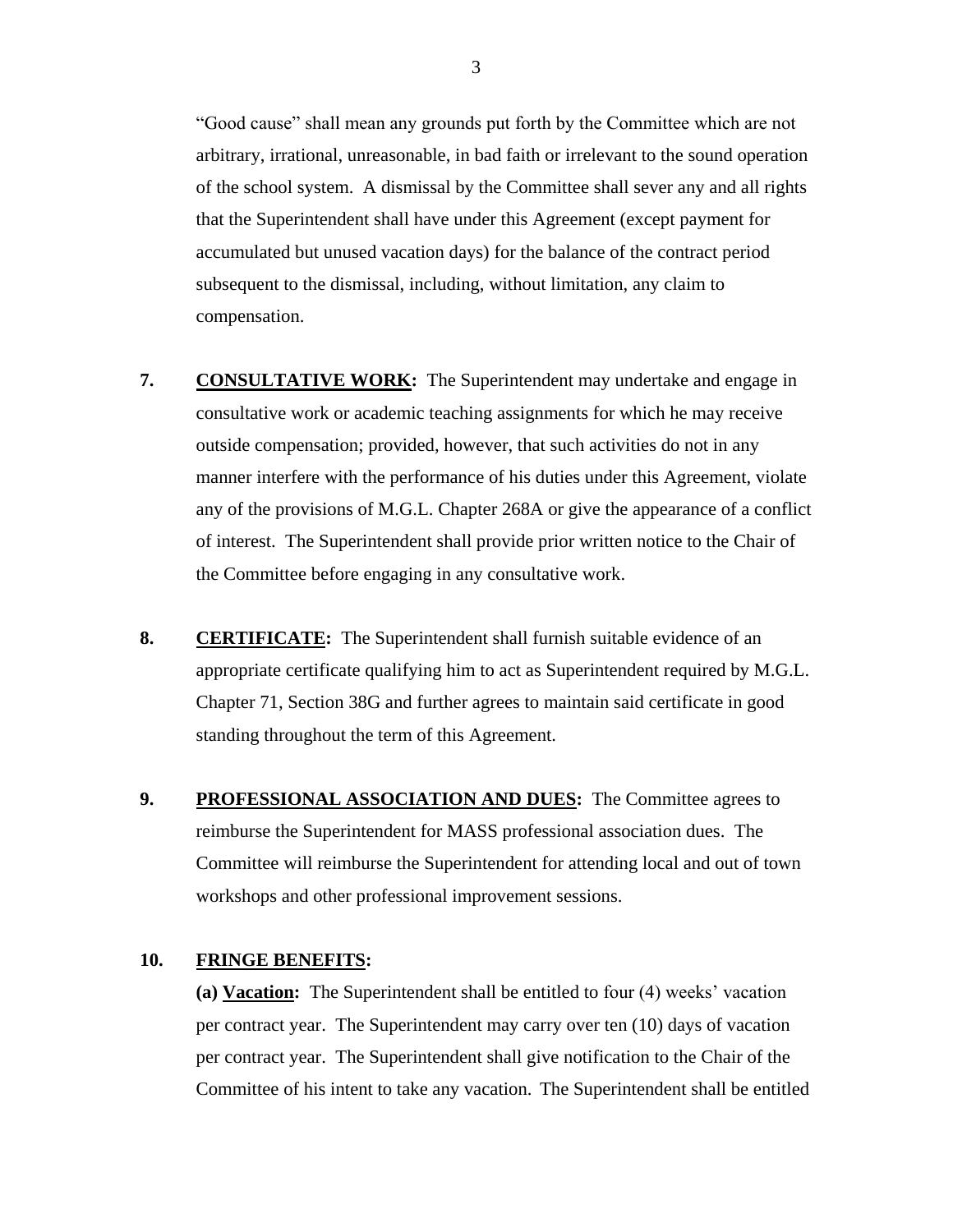"Good cause" shall mean any grounds put forth by the Committee which are not arbitrary, irrational, unreasonable, in bad faith or irrelevant to the sound operation of the school system. A dismissal by the Committee shall sever any and all rights that the Superintendent shall have under this Agreement (except payment for accumulated but unused vacation days) for the balance of the contract period subsequent to the dismissal, including, without limitation, any claim to compensation.

- **7. CONSULTATIVE WORK:** The Superintendent may undertake and engage in consultative work or academic teaching assignments for which he may receive outside compensation; provided, however, that such activities do not in any manner interfere with the performance of his duties under this Agreement, violate any of the provisions of M.G.L. Chapter 268A or give the appearance of a conflict of interest. The Superintendent shall provide prior written notice to the Chair of the Committee before engaging in any consultative work.
- **8. CERTIFICATE:** The Superintendent shall furnish suitable evidence of an appropriate certificate qualifying him to act as Superintendent required by M.G.L. Chapter 71, Section 38G and further agrees to maintain said certificate in good standing throughout the term of this Agreement.
- **9. PROFESSIONAL ASSOCIATION AND DUES:** The Committee agrees to reimburse the Superintendent for MASS professional association dues. The Committee will reimburse the Superintendent for attending local and out of town workshops and other professional improvement sessions.

# **10. FRINGE BENEFITS:**

**(a) Vacation:** The Superintendent shall be entitled to four (4) weeks' vacation per contract year. The Superintendent may carry over ten (10) days of vacation per contract year. The Superintendent shall give notification to the Chair of the Committee of his intent to take any vacation. The Superintendent shall be entitled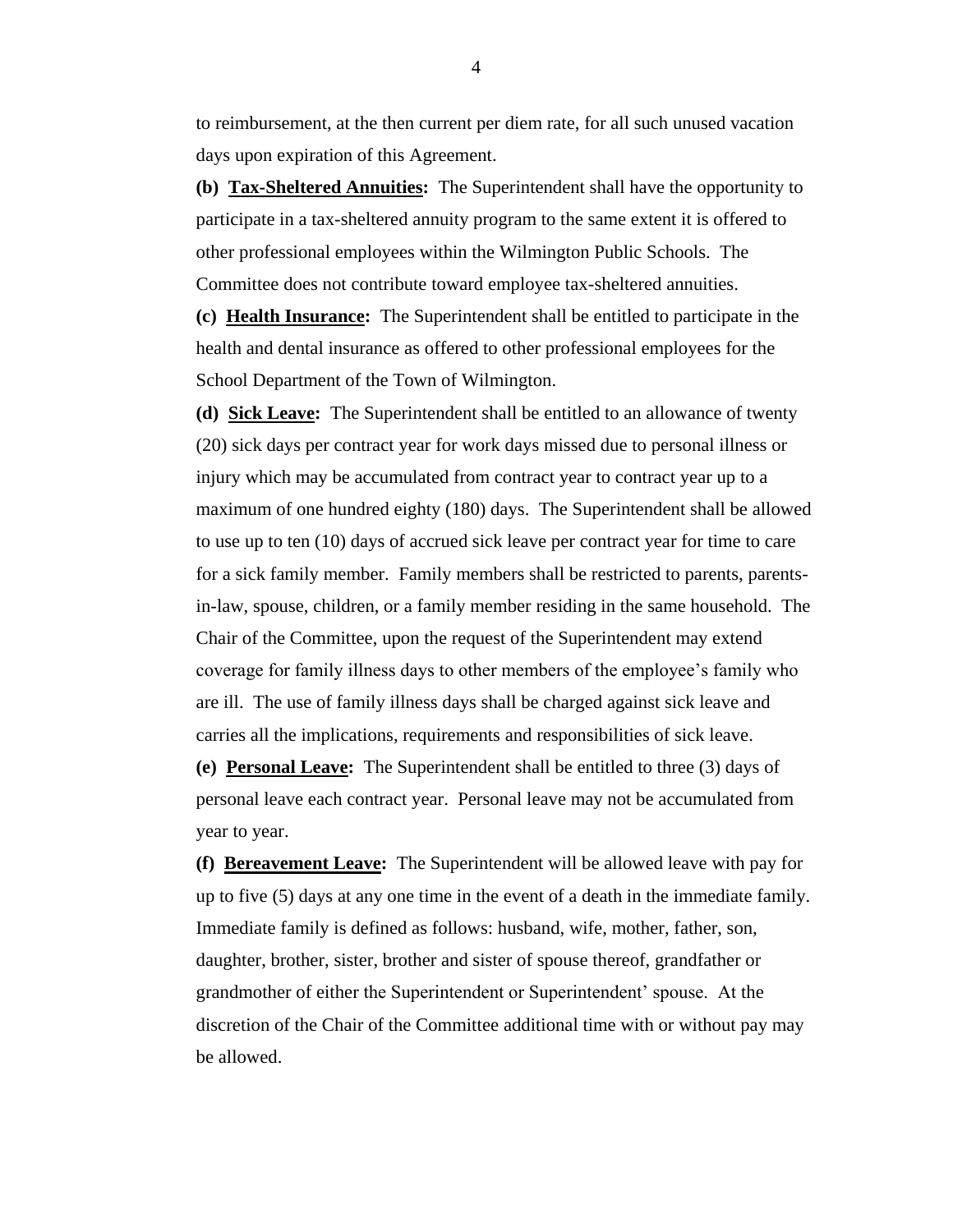to reimbursement, at the then current per diem rate, for all such unused vacation days upon expiration of this Agreement.

**(b) Tax-Sheltered Annuities:** The Superintendent shall have the opportunity to participate in a tax-sheltered annuity program to the same extent it is offered to other professional employees within the Wilmington Public Schools. The Committee does not contribute toward employee tax-sheltered annuities.

**(c) Health Insurance:** The Superintendent shall be entitled to participate in the health and dental insurance as offered to other professional employees for the School Department of the Town of Wilmington.

**(d) Sick Leave:** The Superintendent shall be entitled to an allowance of twenty (20) sick days per contract year for work days missed due to personal illness or injury which may be accumulated from contract year to contract year up to a maximum of one hundred eighty (180) days. The Superintendent shall be allowed to use up to ten (10) days of accrued sick leave per contract year for time to care for a sick family member. Family members shall be restricted to parents, parentsin-law, spouse, children, or a family member residing in the same household. The Chair of the Committee, upon the request of the Superintendent may extend coverage for family illness days to other members of the employee's family who are ill. The use of family illness days shall be charged against sick leave and carries all the implications, requirements and responsibilities of sick leave.

**(e) Personal Leave:** The Superintendent shall be entitled to three (3) days of personal leave each contract year. Personal leave may not be accumulated from year to year.

**(f) Bereavement Leave:** The Superintendent will be allowed leave with pay for up to five (5) days at any one time in the event of a death in the immediate family. Immediate family is defined as follows: husband, wife, mother, father, son, daughter, brother, sister, brother and sister of spouse thereof, grandfather or grandmother of either the Superintendent or Superintendent' spouse. At the discretion of the Chair of the Committee additional time with or without pay may be allowed.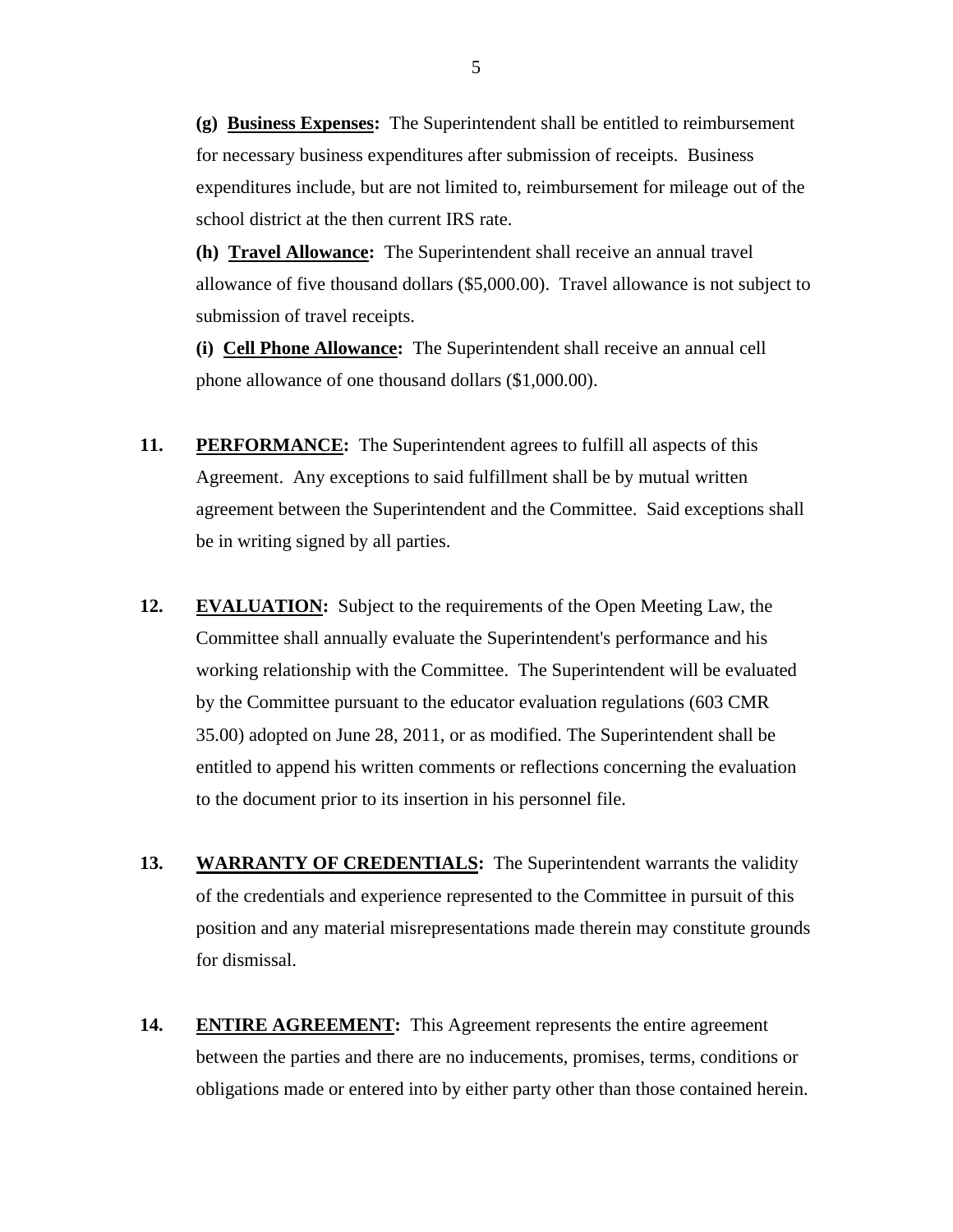**(g) Business Expenses:** The Superintendent shall be entitled to reimbursement for necessary business expenditures after submission of receipts. Business expenditures include, but are not limited to, reimbursement for mileage out of the school district at the then current IRS rate.

**(h) Travel Allowance:** The Superintendent shall receive an annual travel allowance of five thousand dollars (\$5,000.00). Travel allowance is not subject to submission of travel receipts.

**(i) Cell Phone Allowance:** The Superintendent shall receive an annual cell phone allowance of one thousand dollars (\$1,000.00).

- **11. PERFORMANCE:** The Superintendent agrees to fulfill all aspects of this Agreement. Any exceptions to said fulfillment shall be by mutual written agreement between the Superintendent and the Committee. Said exceptions shall be in writing signed by all parties.
- **12. EVALUATION:** Subject to the requirements of the Open Meeting Law, the Committee shall annually evaluate the Superintendent's performance and his working relationship with the Committee. The Superintendent will be evaluated by the Committee pursuant to the educator evaluation regulations (603 CMR 35.00) adopted on June 28, 2011, or as modified. The Superintendent shall be entitled to append his written comments or reflections concerning the evaluation to the document prior to its insertion in his personnel file.
- **13. WARRANTY OF CREDENTIALS:** The Superintendent warrants the validity of the credentials and experience represented to the Committee in pursuit of this position and any material misrepresentations made therein may constitute grounds for dismissal.
- **14. ENTIRE AGREEMENT:** This Agreement represents the entire agreement between the parties and there are no inducements, promises, terms, conditions or obligations made or entered into by either party other than those contained herein.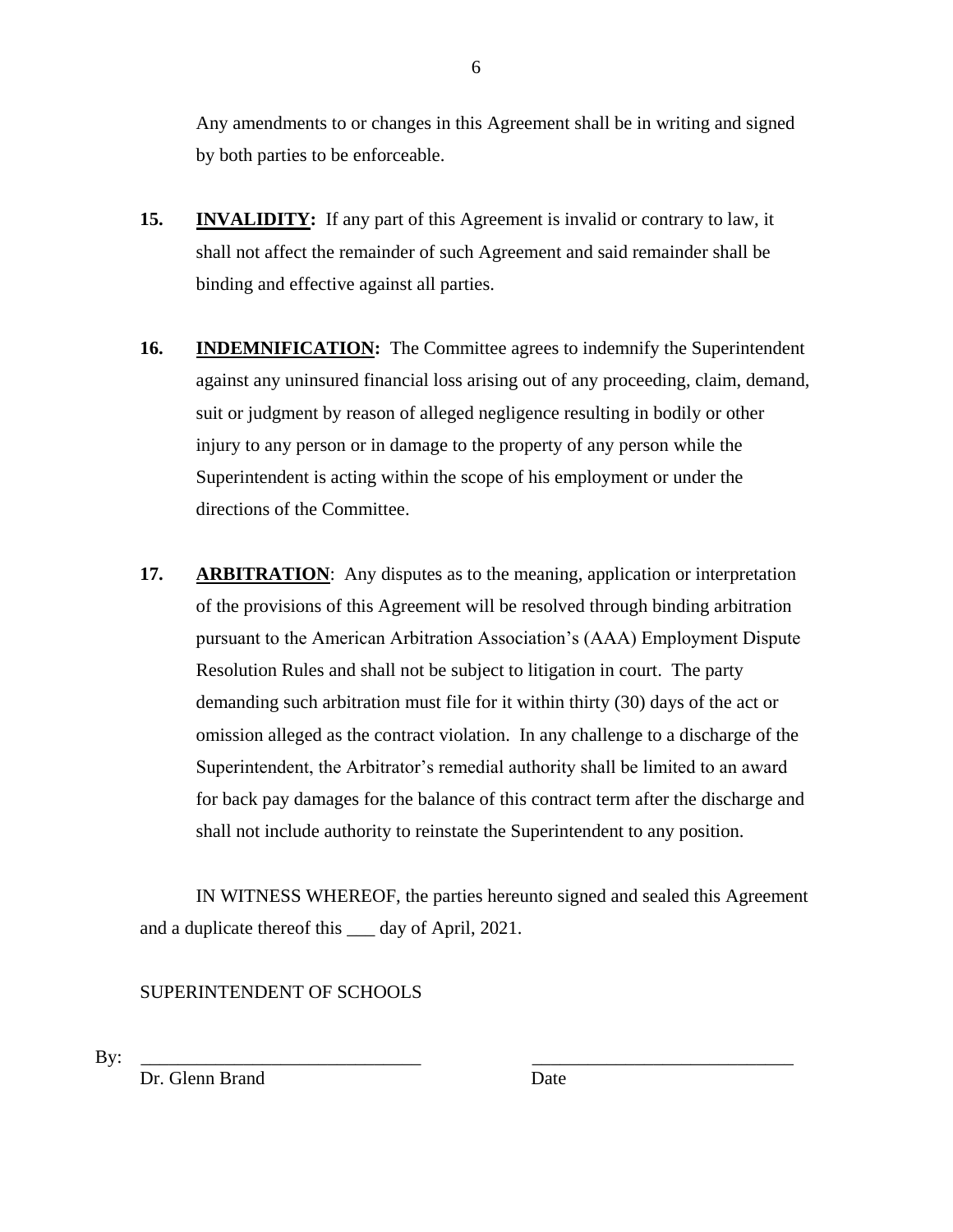Any amendments to or changes in this Agreement shall be in writing and signed by both parties to be enforceable.

- **15. INVALIDITY:** If any part of this Agreement is invalid or contrary to law, it shall not affect the remainder of such Agreement and said remainder shall be binding and effective against all parties.
- **16. INDEMNIFICATION:** The Committee agrees to indemnify the Superintendent against any uninsured financial loss arising out of any proceeding, claim, demand, suit or judgment by reason of alleged negligence resulting in bodily or other injury to any person or in damage to the property of any person while the Superintendent is acting within the scope of his employment or under the directions of the Committee.
- **17. ARBITRATION**: Any disputes as to the meaning, application or interpretation of the provisions of this Agreement will be resolved through binding arbitration pursuant to the American Arbitration Association's (AAA) Employment Dispute Resolution Rules and shall not be subject to litigation in court. The party demanding such arbitration must file for it within thirty (30) days of the act or omission alleged as the contract violation. In any challenge to a discharge of the Superintendent, the Arbitrator's remedial authority shall be limited to an award for back pay damages for the balance of this contract term after the discharge and shall not include authority to reinstate the Superintendent to any position.

IN WITNESS WHEREOF, the parties hereunto signed and sealed this Agreement and a duplicate thereof this \_\_\_ day of April, 2021.

# SUPERINTENDENT OF SCHOOLS

By: \_\_\_\_\_\_\_\_\_\_\_\_\_\_\_\_\_\_\_\_\_\_\_\_\_\_\_\_\_\_ \_\_\_\_\_\_\_\_\_\_\_\_\_\_\_\_\_\_\_\_\_\_\_\_\_\_\_\_

Dr. Glenn Brand Date

6